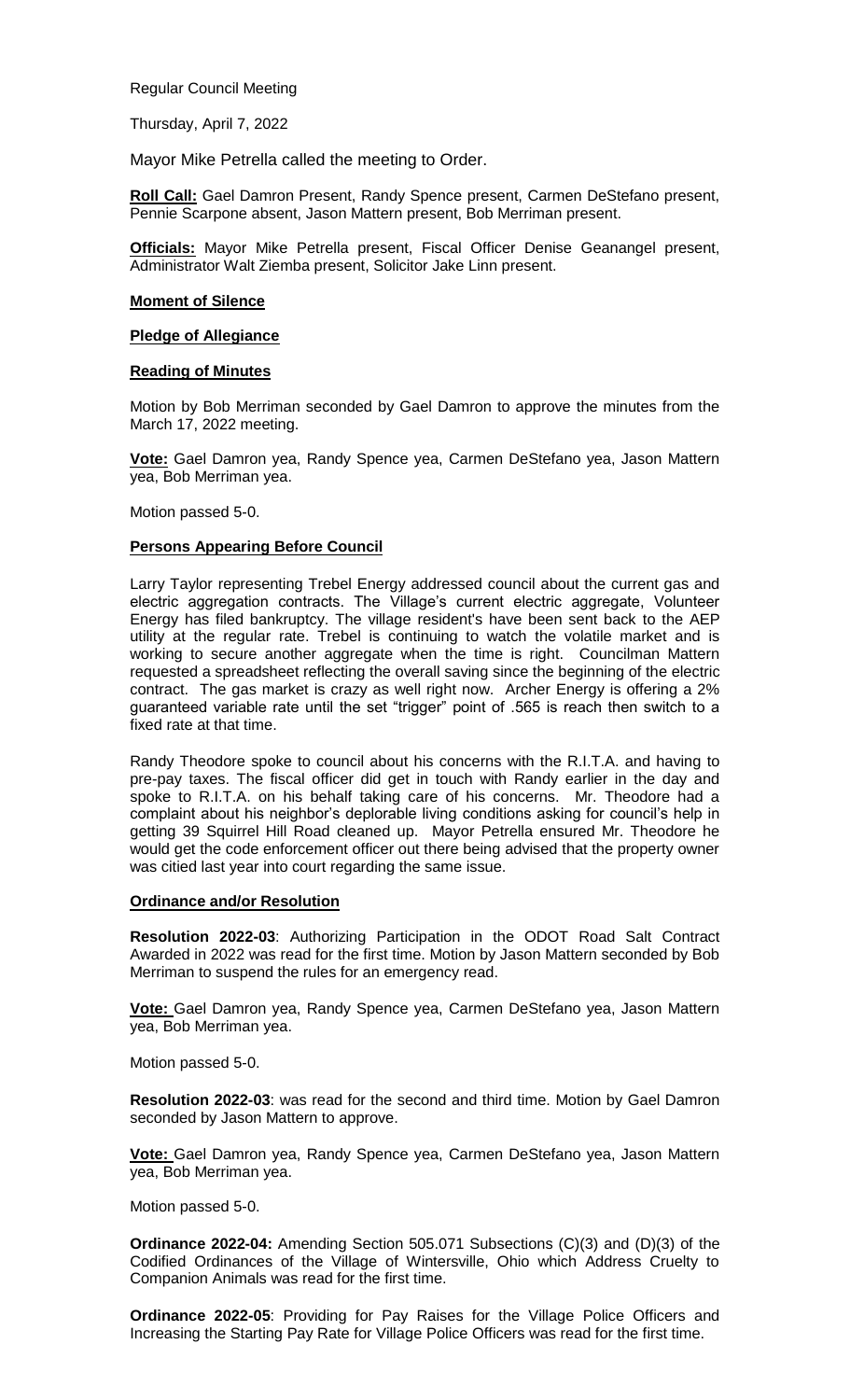Regular Council Meeting

Thursday, April 7, 2022

Mayor Mike Petrella called the meeting to Order.

**Roll Call:** Gael Damron Present, Randy Spence present, Carmen DeStefano present, Pennie Scarpone absent, Jason Mattern present, Bob Merriman present.

**Officials:** Mayor Mike Petrella present, Fiscal Officer Denise Geanangel present, Administrator Walt Ziemba present, Solicitor Jake Linn present.

#### **Moment of Silence**

#### **Pledge of Allegiance**

### **Reading of Minutes**

Motion by Bob Merriman seconded by Gael Damron to approve the minutes from the March 17, 2022 meeting.

**Vote:** Gael Damron yea, Randy Spence yea, Carmen DeStefano yea, Jason Mattern yea, Bob Merriman yea.

Motion passed 5-0.

### **Persons Appearing Before Council**

Larry Taylor representing Trebel Energy addressed council about the current gas and electric aggregation contracts. The Village's current electric aggregate, Volunteer Energy has filed bankruptcy. The village resident's have been sent back to the AEP utility at the regular rate. Trebel is continuing to watch the volatile market and is working to secure another aggregate when the time is right. Councilman Mattern requested a spreadsheet reflecting the overall saving since the beginning of the electric contract. The gas market is crazy as well right now. Archer Energy is offering a 2% guaranteed variable rate until the set "trigger" point of .565 is reach then switch to a fixed rate at that time.

Randy Theodore spoke to council about his concerns with the R.I.T.A. and having to pre-pay taxes. The fiscal officer did get in touch with Randy earlier in the day and spoke to R.I.T.A. on his behalf taking care of his concerns. Mr. Theodore had a complaint about his neighbor's deplorable living conditions asking for council's help in getting 39 Squirrel Hill Road cleaned up. Mayor Petrella ensured Mr. Theodore he would get the code enforcement officer out there being advised that the property owner was citied last year into court regarding the same issue.

### **Ordinance and/or Resolution**

**Resolution 2022-03**: Authorizing Participation in the ODOT Road Salt Contract Awarded in 2022 was read for the first time. Motion by Jason Mattern seconded by Bob Merriman to suspend the rules for an emergency read.

**Vote:** Gael Damron yea, Randy Spence yea, Carmen DeStefano yea, Jason Mattern yea, Bob Merriman yea.

Motion passed 5-0.

**Resolution 2022-03**: was read for the second and third time. Motion by Gael Damron seconded by Jason Mattern to approve.

**Vote:** Gael Damron yea, Randy Spence yea, Carmen DeStefano yea, Jason Mattern yea, Bob Merriman yea.

Motion passed 5-0.

**Ordinance 2022-04:** Amending Section 505.071 Subsections (C)(3) and (D)(3) of the Codified Ordinances of the Village of Wintersville, Ohio which Address Cruelty to Companion Animals was read for the first time.

**Ordinance 2022-05**: Providing for Pay Raises for the Village Police Officers and Increasing the Starting Pay Rate for Village Police Officers was read for the first time.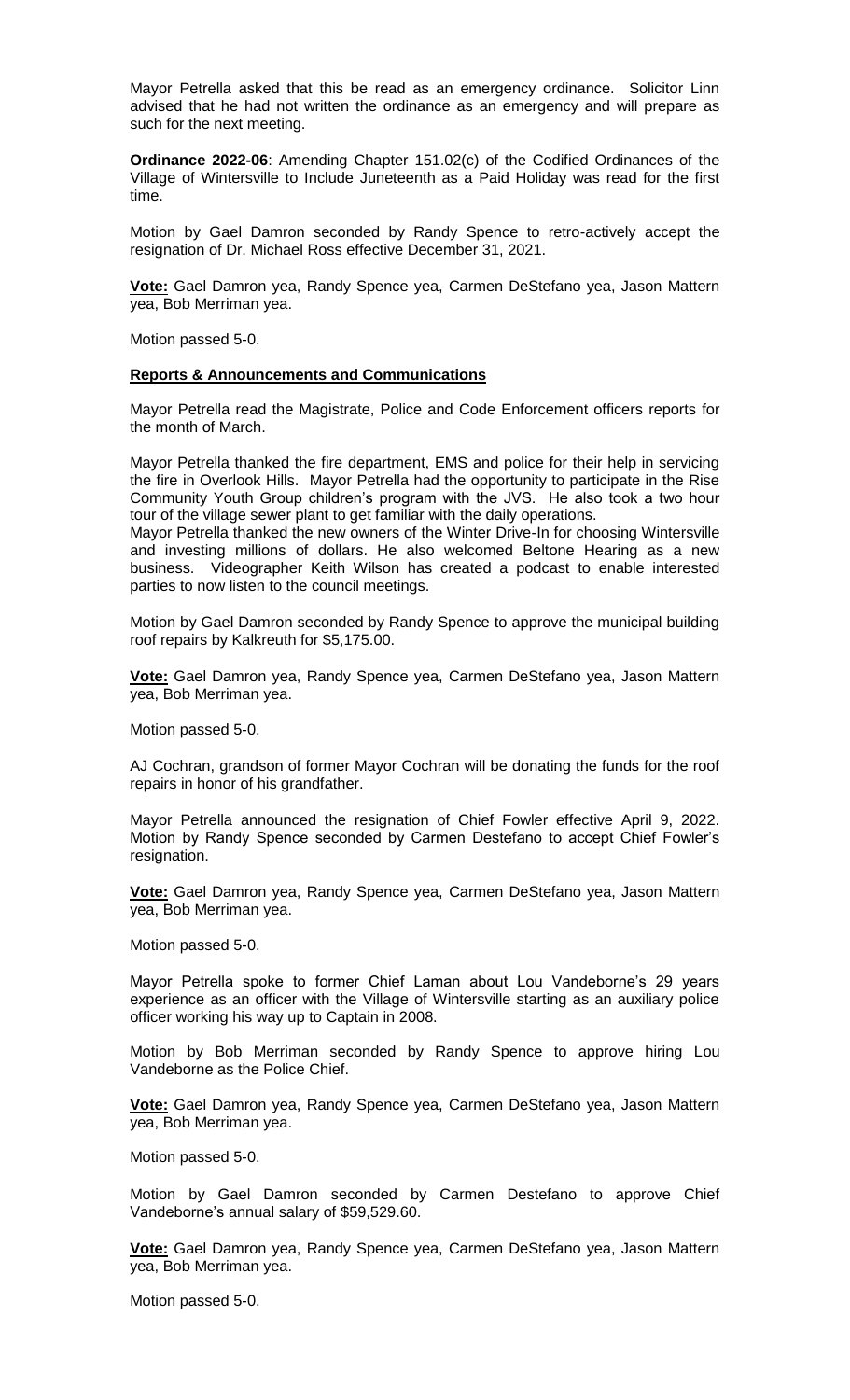Mayor Petrella asked that this be read as an emergency ordinance. Solicitor Linn advised that he had not written the ordinance as an emergency and will prepare as such for the next meeting.

**Ordinance 2022-06**: Amending Chapter 151.02(c) of the Codified Ordinances of the Village of Wintersville to Include Juneteenth as a Paid Holiday was read for the first time.

Motion by Gael Damron seconded by Randy Spence to retro-actively accept the resignation of Dr. Michael Ross effective December 31, 2021.

**Vote:** Gael Damron yea, Randy Spence yea, Carmen DeStefano yea, Jason Mattern yea, Bob Merriman yea.

Motion passed 5-0.

### **Reports & Announcements and Communications**

Mayor Petrella read the Magistrate, Police and Code Enforcement officers reports for the month of March.

Mayor Petrella thanked the fire department, EMS and police for their help in servicing the fire in Overlook Hills. Mayor Petrella had the opportunity to participate in the Rise Community Youth Group children's program with the JVS. He also took a two hour tour of the village sewer plant to get familiar with the daily operations.

Mayor Petrella thanked the new owners of the Winter Drive-In for choosing Wintersville and investing millions of dollars. He also welcomed Beltone Hearing as a new business. Videographer Keith Wilson has created a podcast to enable interested parties to now listen to the council meetings.

Motion by Gael Damron seconded by Randy Spence to approve the municipal building roof repairs by Kalkreuth for \$5,175.00.

**Vote:** Gael Damron yea, Randy Spence yea, Carmen DeStefano yea, Jason Mattern yea, Bob Merriman yea.

Motion passed 5-0.

AJ Cochran, grandson of former Mayor Cochran will be donating the funds for the roof repairs in honor of his grandfather.

Mayor Petrella announced the resignation of Chief Fowler effective April 9, 2022. Motion by Randy Spence seconded by Carmen Destefano to accept Chief Fowler's resignation.

**Vote:** Gael Damron yea, Randy Spence yea, Carmen DeStefano yea, Jason Mattern yea, Bob Merriman yea.

Motion passed 5-0.

Mayor Petrella spoke to former Chief Laman about Lou Vandeborne's 29 years experience as an officer with the Village of Wintersville starting as an auxiliary police officer working his way up to Captain in 2008.

Motion by Bob Merriman seconded by Randy Spence to approve hiring Lou Vandeborne as the Police Chief.

**Vote:** Gael Damron yea, Randy Spence yea, Carmen DeStefano yea, Jason Mattern yea, Bob Merriman yea.

Motion passed 5-0.

Motion by Gael Damron seconded by Carmen Destefano to approve Chief Vandeborne's annual salary of \$59,529.60.

**Vote:** Gael Damron yea, Randy Spence yea, Carmen DeStefano yea, Jason Mattern yea, Bob Merriman yea.

Motion passed 5-0.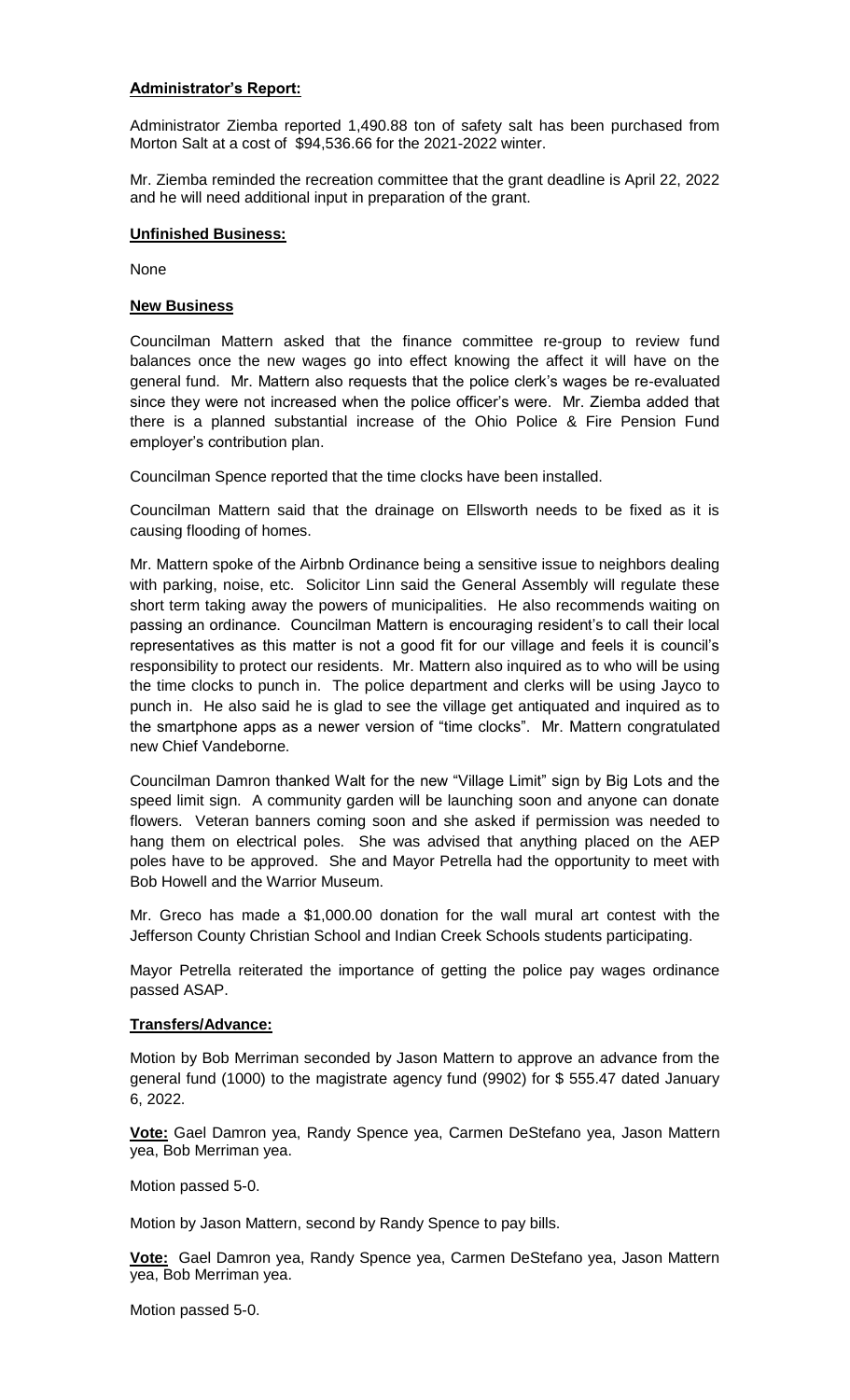# **Administrator's Report:**

Administrator Ziemba reported 1,490.88 ton of safety salt has been purchased from Morton Salt at a cost of \$94,536.66 for the 2021-2022 winter.

Mr. Ziemba reminded the recreation committee that the grant deadline is April 22, 2022 and he will need additional input in preparation of the grant.

### **Unfinished Business:**

None

## **New Business**

Councilman Mattern asked that the finance committee re-group to review fund balances once the new wages go into effect knowing the affect it will have on the general fund. Mr. Mattern also requests that the police clerk's wages be re-evaluated since they were not increased when the police officer's were. Mr. Ziemba added that there is a planned substantial increase of the Ohio Police & Fire Pension Fund employer's contribution plan.

Councilman Spence reported that the time clocks have been installed.

Councilman Mattern said that the drainage on Ellsworth needs to be fixed as it is causing flooding of homes.

Mr. Mattern spoke of the Airbnb Ordinance being a sensitive issue to neighbors dealing with parking, noise, etc. Solicitor Linn said the General Assembly will regulate these short term taking away the powers of municipalities. He also recommends waiting on passing an ordinance. Councilman Mattern is encouraging resident's to call their local representatives as this matter is not a good fit for our village and feels it is council's responsibility to protect our residents. Mr. Mattern also inquired as to who will be using the time clocks to punch in. The police department and clerks will be using Jayco to punch in. He also said he is glad to see the village get antiquated and inquired as to the smartphone apps as a newer version of "time clocks". Mr. Mattern congratulated new Chief Vandeborne.

Councilman Damron thanked Walt for the new "Village Limit" sign by Big Lots and the speed limit sign. A community garden will be launching soon and anyone can donate flowers. Veteran banners coming soon and she asked if permission was needed to hang them on electrical poles. She was advised that anything placed on the AEP poles have to be approved. She and Mayor Petrella had the opportunity to meet with Bob Howell and the Warrior Museum.

Mr. Greco has made a \$1,000.00 donation for the wall mural art contest with the Jefferson County Christian School and Indian Creek Schools students participating.

Mayor Petrella reiterated the importance of getting the police pay wages ordinance passed ASAP.

### **Transfers/Advance:**

Motion by Bob Merriman seconded by Jason Mattern to approve an advance from the general fund (1000) to the magistrate agency fund (9902) for \$ 555.47 dated January 6, 2022.

**Vote:** Gael Damron yea, Randy Spence yea, Carmen DeStefano yea, Jason Mattern yea, Bob Merriman yea.

Motion passed 5-0.

Motion by Jason Mattern, second by Randy Spence to pay bills.

**Vote:** Gael Damron yea, Randy Spence yea, Carmen DeStefano yea, Jason Mattern yea, Bob Merriman yea.

Motion passed 5-0.